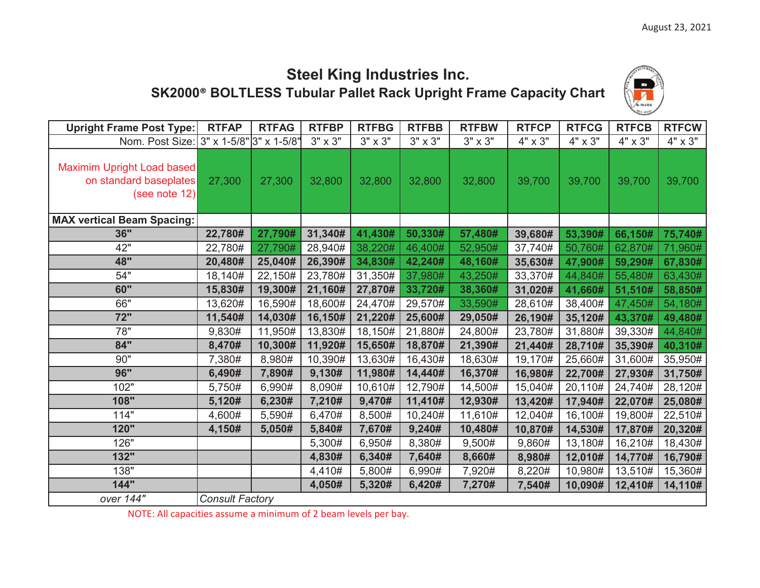## **Steel King Industries Inc. SK2000 ® BOLTLESS Tubular Pallet Rack Upright Frame Capacity Chart**



| <b>Upright Frame Post Type:</b>                                       | <b>RTFAP</b>                            | <b>RTFAG</b> | <b>RTFBP</b>   | <b>RTFBG</b>   | <b>RTFBB</b>   | <b>RTFBW</b>   | <b>RTFCP</b> | <b>RTFCG</b> | <b>RTFCB</b> | <b>RTFCW</b>   |
|-----------------------------------------------------------------------|-----------------------------------------|--------------|----------------|----------------|----------------|----------------|--------------|--------------|--------------|----------------|
| Nom. Post Size:                                                       | $3" \times 1 - 5/8" 3" \times 1 - 5/8"$ |              | $3" \times 3"$ | $3" \times 3"$ | $3" \times 3"$ | $3" \times 3"$ | 4" x 3"      | 4" x 3"      | 4" x 3"      | $4" \times 3"$ |
| Maximim Upright Load based<br>on standard baseplates<br>(see note 12) | 27,300                                  | 27,300       | 32,800         | 32,800         | 32,800         | 32,800         | 39,700       | 39,700       | 39,700       | 39,700         |
| <b>MAX vertical Beam Spacing:</b>                                     |                                         |              |                |                |                |                |              |              |              |                |
| 36"                                                                   | 22,780#                                 | 27,790#      | 31,340#        | 41,430#        | 50,330#        | 57,480#        | 39,680#      | 53,390#      | 66,150#      | 75,740#        |
| 42"                                                                   | 22,780#                                 | 27,790#      | 28,940#        | 38,220#        | 46,400#        | 52,950#        | 37,740#      | 50,760#      | 62,870#      | 71,960#        |
| 48"                                                                   | 20,480#                                 | 25,040#      | 26,390#        | 34,830#        | 42,240#        | 48,160#        | 35,630#      | 47,900#      | 59,290#      | 67,830#        |
| 54"                                                                   | 18,140#                                 | 22,150#      | 23,780#        | 31,350#        | 37,980#        | 43,250#        | 33,370#      | 44,840#      | 55,480#      | 63,430#        |
| 60"                                                                   | 15,830#                                 | 19,300#      | 21,160#        | 27,870#        | 33,720#        | 38,360#        | 31,020#      | 41,660#      | 51,510#      | 58,850#        |
| 66"                                                                   | 13,620#                                 | 16,590#      | 18,600#        | 24,470#        | 29,570#        | 33,590#        | 28,610#      | 38,400#      | 47,450#      | 54,180#        |
| 72"                                                                   | 11,540#                                 | 14,030#      | 16,150#        | 21,220#        | 25,600#        | 29,050#        | 26,190#      | 35,120#      | 43,370#      | 49,480#        |
| 78"                                                                   | 9,830#                                  | 11,950#      | 13,830#        | 18,150#        | 21,880#        | 24,800#        | 23,780#      | 31,880#      | 39,330#      | 44,840#        |
| 84"                                                                   | 8,470#                                  | 10,300#      | 11,920#        | 15,650#        | 18,870#        | 21,390#        | 21,440#      | 28,710#      | 35,390#      | 40,310#        |
| 90"                                                                   | 7,380#                                  | 8,980#       | 10,390#        | 13,630#        | 16,430#        | 18,630#        | 19,170#      | 25,660#      | 31,600#      | 35,950#        |
| 96"                                                                   | 6,490#                                  | 7,890#       | 9,130#         | 11,980#        | 14,440#        | 16,370#        | 16,980#      | 22,700#      | 27,930#      | 31,750#        |
| 102"                                                                  | 5,750#                                  | 6,990#       | 8,090#         | 10,610#        | 12,790#        | 14,500#        | 15,040#      | 20,110#      | 24,740#      | 28,120#        |
| 108"                                                                  | 5,120#                                  | 6,230#       | 7,210#         | 9,470#         | 11,410#        | 12,930#        | 13,420#      | 17,940#      | 22,070#      | 25,080#        |
| 114"                                                                  | 4,600#                                  | 5,590#       | 6,470#         | 8,500#         | 10,240#        | 11,610#        | 12,040#      | 16,100#      | 19,800#      | 22,510#        |
| 120"                                                                  | 4,150#                                  | 5,050#       | 5,840#         | 7,670#         | 9,240#         | 10,480#        | 10,870#      | 14,530#      | 17,870#      | 20,320#        |
| 126"                                                                  |                                         |              | 5,300#         | 6,950#         | 8,380#         | 9,500#         | 9,860#       | 13,180#      | 16,210#      | 18,430#        |
| 132"                                                                  |                                         |              | 4,830#         | 6,340#         | 7,640#         | 8,660#         | 8,980#       | 12,010#      | 14,770#      | 16,790#        |
| 138"                                                                  |                                         |              | 4,410#         | 5,800#         | 6,990#         | 7,920#         | 8,220#       | 10,980#      | 13,510#      | 15,360#        |
| 144"                                                                  |                                         |              | 4,050#         | 5,320#         | 6,420#         | 7,270#         | 7,540#       | 10,090#      | 12,410#      | 14,110#        |
| over 144"                                                             | <b>Consult Factory</b>                  |              |                |                |                |                |              |              |              |                |

NOTE: All capacities assume a minimum of 2 beam levels per bay.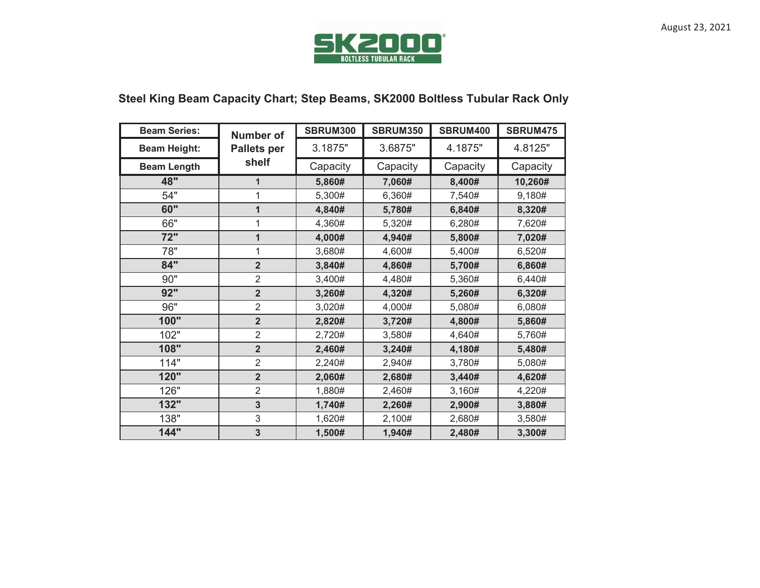

## **Steel King Beam Capacity Chart; Step Beams, SK2000 Boltless Tubular Rack Only**

| <b>Beam Series:</b> | <b>Number of</b>   | <b>SBRUM300</b> | <b>SBRUM350</b> | SBRUM400 | <b>SBRUM475</b> |  |
|---------------------|--------------------|-----------------|-----------------|----------|-----------------|--|
| <b>Beam Height:</b> | <b>Pallets per</b> | 3.1875"         | 3.6875"         | 4.1875"  | 4.8125"         |  |
| <b>Beam Length</b>  | shelf              | Capacity        | Capacity        | Capacity | Capacity        |  |
| 48"                 | $\mathbf{1}$       | 5,860#          | 7,060#          | 8,400#   | 10,260#         |  |
| 54"                 | 1                  | 5,300#          | 6,360#          | 7,540#   | 9,180#          |  |
| 60"                 | $\mathbf{1}$       | 4,840#          | 5,780#          | 6,840#   | 8,320#          |  |
| 66"                 | 1                  | 4,360#          | 5,320#          | 6,280#   | 7,620#          |  |
| 72"                 | 1                  | 4,000#          | 4,940#          | 5,800#   | 7,020#          |  |
| 78"                 | 1                  | 3,680#          | 4,600#          | 5,400#   | 6,520#          |  |
| 84"                 | $\overline{2}$     | 3,840#          | 4,860#          | 5,700#   | 6,860#          |  |
| 90"                 | $\overline{2}$     | 3,400#          | 4,480#          | 5,360#   | 6,440#          |  |
| 92"                 | $\overline{2}$     | 3,260#          | 4,320#          | 5,260#   | 6,320#          |  |
| 96"                 | $\overline{2}$     | 3,020#          | 4,000#          | 5,080#   | 6,080#          |  |
| 100"                | $\overline{2}$     | 2,820#          | 3,720#          | 4,800#   | 5,860#          |  |
| 102"                | $\overline{2}$     | 2,720#          | 3,580#          | 4,640#   | 5,760#          |  |
| 108"                | $\overline{2}$     | 2,460#          | 3,240#          | 4,180#   | 5,480#          |  |
| 114"                | $\overline{2}$     | 2,240#          | 2,940#          | 3,780#   | 5,080#          |  |
| 120"                | $\overline{2}$     | 2,060#          | 2,680#          | 3,440#   | 4,620#          |  |
| 126"                | $\overline{2}$     | 1,880#          | 2,460#          | 3,160#   | 4,220#          |  |
| 132"                | 3                  | 1,740#          | 2,260#          | 2,900#   | 3,880#          |  |
| 138"                | 3                  | 1,620#          | 2,100#          | 2,680#   | 3,580#          |  |
| 144"                | 3                  | 1,500#          | 1,940#          | 2,480#   | 3,300#          |  |